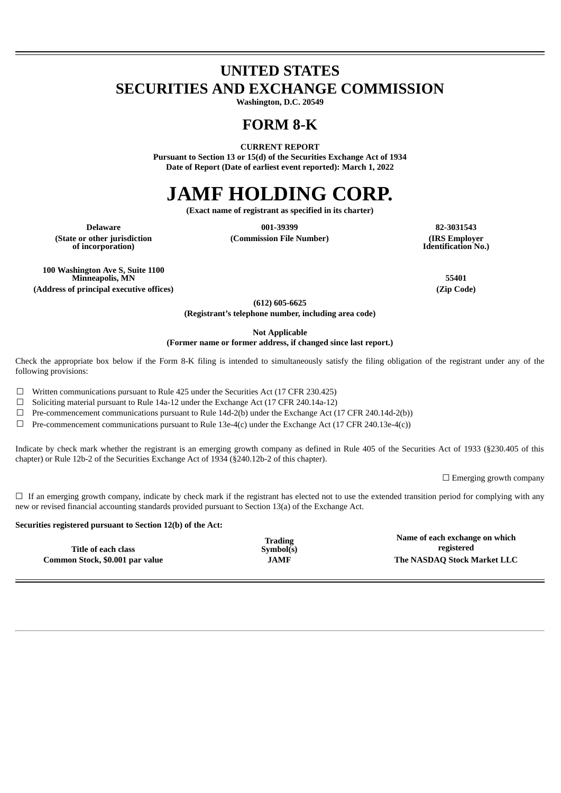# **UNITED STATES SECURITIES AND EXCHANGE COMMISSION**

**Washington, D.C. 20549**

### **FORM 8-K**

**CURRENT REPORT**

**Pursuant to Section 13 or 15(d) of the Securities Exchange Act of 1934 Date of Report (Date of earliest event reported): March 1, 2022**

# **JAMF HOLDING CORP.**

**(Exact name of registrant as specified in its charter)**

**(State or other jurisdiction of incorporation)**

 $(Commission File Number)$ 

**Delaware 001-39399 82-3031543 Identification No.)**

**100 Washington Ave S, Suite 1100 Minneapolis, MN 55401 (Address of principal executive offices) (Zip Code)**

**(612) 605-6625**

**(Registrant's telephone number, including area code)**

**Not Applicable**

**(Former name or former address, if changed since last report.)**

Check the appropriate box below if the Form 8-K filing is intended to simultaneously satisfy the filing obligation of the registrant under any of the following provisions:

☐ Written communications pursuant to Rule 425 under the Securities Act (17 CFR 230.425)

☐ Soliciting material pursuant to Rule 14a-12 under the Exchange Act (17 CFR 240.14a-12)

 $\Box$  Pre-commencement communications pursuant to Rule 14d-2(b) under the Exchange Act (17 CFR 240.14d-2(b))

 $\Box$  Pre-commencement communications pursuant to Rule 13e-4(c) under the Exchange Act (17 CFR 240.13e-4(c))

Indicate by check mark whether the registrant is an emerging growth company as defined in Rule 405 of the Securities Act of 1933 (§230.405 of this chapter) or Rule 12b-2 of the Securities Exchange Act of 1934 (§240.12b-2 of this chapter).

 $\Box$  Emerging growth company

 $\Box$  If an emerging growth company, indicate by check mark if the registrant has elected not to use the extended transition period for complying with any new or revised financial accounting standards provided pursuant to Section 13(a) of the Exchange Act.

**Securities registered pursuant to Section 12(b) of the Act:**

|                                 | <b>Trading</b> | Name of each exchange on which |
|---------------------------------|----------------|--------------------------------|
| Title of each class             | Symbol(s)      | registered                     |
| Common Stock, \$0.001 par value | JAMF           | The NASDAQ Stock Market LLC    |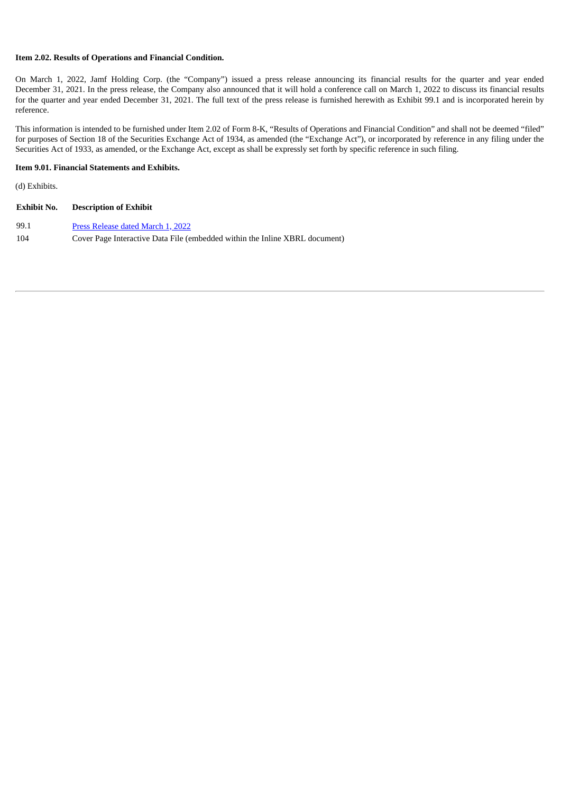#### **Item 2.02. Results of Operations and Financial Condition.**

On March 1, 2022, Jamf Holding Corp. (the "Company") issued a press release announcing its financial results for the quarter and year ended December 31, 2021. In the press release, the Company also announced that it will hold a conference call on March 1, 2022 to discuss its financial results for the quarter and year ended December 31, 2021. The full text of the press release is furnished herewith as Exhibit 99.1 and is incorporated herein by reference.

This information is intended to be furnished under Item 2.02 of Form 8-K, "Results of Operations and Financial Condition" and shall not be deemed "filed" for purposes of Section 18 of the Securities Exchange Act of 1934, as amended (the "Exchange Act"), or incorporated by reference in any filing under the Securities Act of 1933, as amended, or the Exchange Act, except as shall be expressly set forth by specific reference in such filing.

#### **Item 9.01. Financial Statements and Exhibits.**

(d) Exhibits.

| Exhibit No. | <b>Description of Exhibit</b>                                               |
|-------------|-----------------------------------------------------------------------------|
| 99.1        | Press Release dated March 1, 2022                                           |
| 104         | Cover Page Interactive Data File (embedded within the Inline XBRL document) |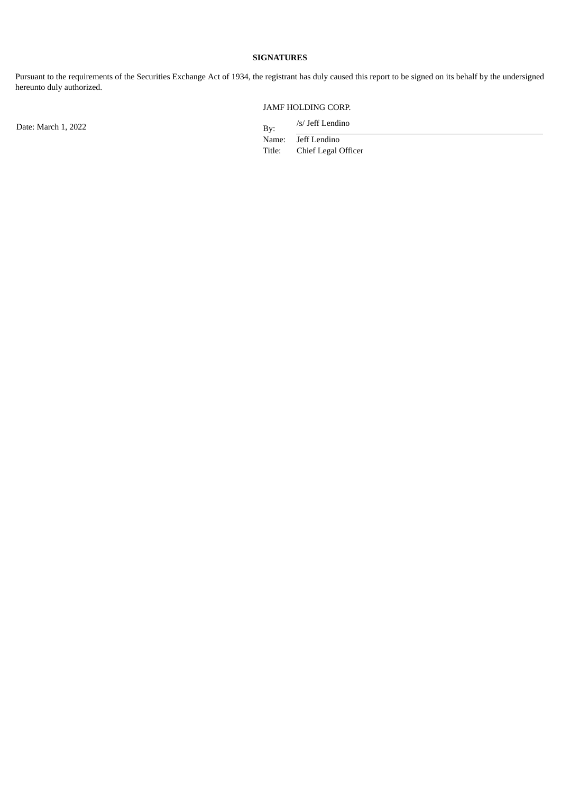#### **SIGNATURES**

Pursuant to the requirements of the Securities Exchange Act of 1934, the registrant has duly caused this report to be signed on its behalf by the undersigned hereunto duly authorized.

#### JAMF HOLDING CORP.

Date: March 1, 2022 By:

/s/ Jeff Lendino

Name: Jeff Lendino Title: Chief Legal Officer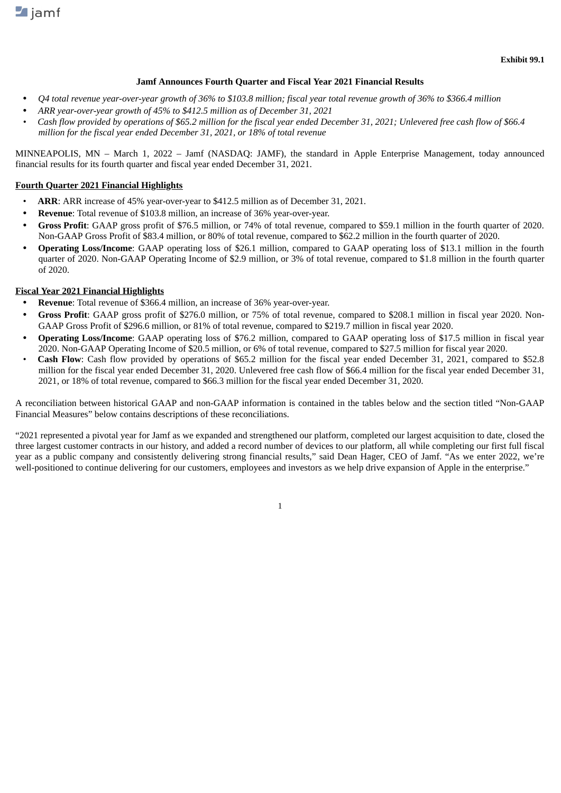#### **Jamf Announces Fourth Quarter and Fiscal Year 2021 Financial Results**

- <span id="page-3-0"></span>Q4 total revenue year-over-year growth of 36% to \$103.8 million; fiscal year total revenue growth of 36% to \$366.4 million
- *ARR year-over-year growth of 45% to \$412.5 million as of December 31, 2021*
- Cash flow provided by operations of \$65.2 million for the fiscal year ended December 31, 2021; Unlevered free cash flow of \$66.4 *million for the fiscal year ended December 31, 2021, or 18% of total revenue*

MINNEAPOLIS, MN – March 1, 2022 – Jamf (NASDAQ: JAMF), the standard in Apple Enterprise Management, today announced financial results for its fourth quarter and fiscal year ended December 31, 2021.

#### **Fourth Quarter 2021 Financial Highlights**

- **ARR**: ARR increase of 45% year-over-year to \$412.5 million as of December 31, 2021.
- **Revenue**: Total revenue of \$103.8 million, an increase of 36% year-over-year.
- **Gross Profit**: GAAP gross profit of \$76.5 million, or 74% of total revenue, compared to \$59.1 million in the fourth quarter of 2020. Non-GAAP Gross Profit of \$83.4 million, or 80% of total revenue, compared to \$62.2 million in the fourth quarter of 2020.
- **Operating Loss/Income**: GAAP operating loss of \$26.1 million, compared to GAAP operating loss of \$13.1 million in the fourth quarter of 2020. Non-GAAP Operating Income of \$2.9 million, or 3% of total revenue, compared to \$1.8 million in the fourth quarter of 2020.

#### **Fiscal Year 2021 Financial Highlights**

- **Revenue**: Total revenue of \$366.4 million, an increase of 36% year-over-year.
- **Gross Profit**: GAAP gross profit of \$276.0 million, or 75% of total revenue, compared to \$208.1 million in fiscal year 2020. Non-GAAP Gross Profit of \$296.6 million, or 81% of total revenue, compared to \$219.7 million in fiscal year 2020.
- **Operating Loss/Income**: GAAP operating loss of \$76.2 million, compared to GAAP operating loss of \$17.5 million in fiscal year 2020. Non-GAAP Operating Income of \$20.5 million, or 6% of total revenue, compared to \$27.5 million for fiscal year 2020.
- **Cash Flow**: Cash flow provided by operations of \$65.2 million for the fiscal year ended December 31, 2021, compared to \$52.8 million for the fiscal year ended December 31, 2020. Unlevered free cash flow of \$66.4 million for the fiscal year ended December 31, 2021, or 18% of total revenue, compared to \$66.3 million for the fiscal year ended December 31, 2020.

A reconciliation between historical GAAP and non-GAAP information is contained in the tables below and the section titled "Non-GAAP Financial Measures" below contains descriptions of these reconciliations.

"2021 represented a pivotal year for Jamf as we expanded and strengthened our platform, completed our largest acquisition to date, closed the three largest customer contracts in our history, and added a record number of devices to our platform, all while completing our first full fiscal year as a public company and consistently delivering strong financial results," said Dean Hager, CEO of Jamf. "As we enter 2022, we're well-positioned to continue delivering for our customers, employees and investors as we help drive expansion of Apple in the enterprise."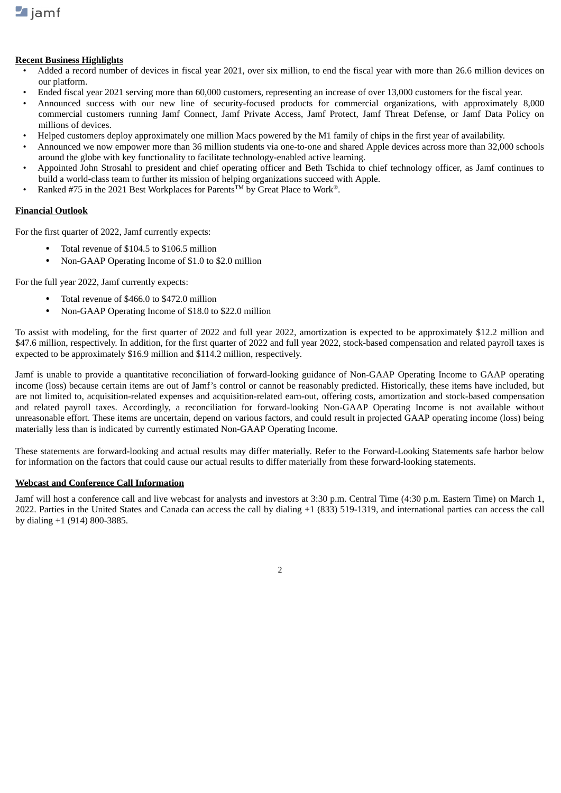$\blacksquare$  jamf

#### **Recent Business Highlights**

- Added a record number of devices in fiscal year 2021, over six million, to end the fiscal year with more than 26.6 million devices on our platform.
- Ended fiscal year 2021 serving more than 60,000 customers, representing an increase of over 13,000 customers for the fiscal year.
- Announced success with our new line of security-focused products for commercial organizations, with approximately 8,000 commercial customers running Jamf Connect, Jamf Private Access, Jamf Protect, Jamf Threat Defense, or Jamf Data Policy on millions of devices.
- Helped customers deploy approximately one million Macs powered by the M1 family of chips in the first year of availability.
- Announced we now empower more than 36 million students via one-to-one and shared Apple devices across more than 32,000 schools around the globe with key functionality to facilitate technology-enabled active learning.
- Appointed John Strosahl to president and chief operating officer and Beth Tschida to chief technology officer, as Jamf continues to build a world-class team to further its mission of helping organizations succeed with Apple.
- Ranked #75 in the 2021 Best Workplaces for Parents<sup>TM</sup> by Great Place to Work<sup>®</sup>.

#### **Financial Outlook**

For the first quarter of 2022, Jamf currently expects:

- Total revenue of \$104.5 to \$106.5 million
- Non-GAAP Operating Income of \$1.0 to \$2.0 million

For the full year 2022, Jamf currently expects:

- Total revenue of \$466.0 to \$472.0 million
- Non-GAAP Operating Income of \$18.0 to \$22.0 million

To assist with modeling, for the first quarter of 2022 and full year 2022, amortization is expected to be approximately \$12.2 million and \$47.6 million, respectively. In addition, for the first quarter of 2022 and full year 2022, stock-based compensation and related payroll taxes is expected to be approximately \$16.9 million and \$114.2 million, respectively.

Jamf is unable to provide a quantitative reconciliation of forward-looking guidance of Non-GAAP Operating Income to GAAP operating income (loss) because certain items are out of Jamf's control or cannot be reasonably predicted. Historically, these items have included, but are not limited to, acquisition-related expenses and acquisition-related earn-out, offering costs, amortization and stock-based compensation and related payroll taxes. Accordingly, a reconciliation for forward-looking Non-GAAP Operating Income is not available without unreasonable effort. These items are uncertain, depend on various factors, and could result in projected GAAP operating income (loss) being materially less than is indicated by currently estimated Non-GAAP Operating Income.

These statements are forward-looking and actual results may differ materially. Refer to the Forward-Looking Statements safe harbor below for information on the factors that could cause our actual results to differ materially from these forward-looking statements.

#### **Webcast and Conference Call Information**

Jamf will host a conference call and live webcast for analysts and investors at 3:30 p.m. Central Time (4:30 p.m. Eastern Time) on March 1, 2022. Parties in the United States and Canada can access the call by dialing +1 (833) 519-1319, and international parties can access the call by dialing +1 (914) 800-3885.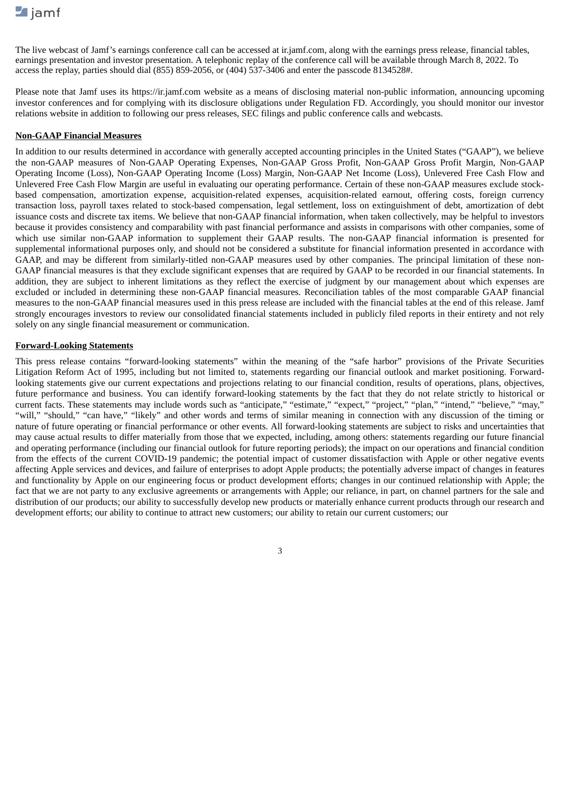The live webcast of Jamf's earnings conference call can be accessed at ir.jamf.com, along with the earnings press release, financial tables, earnings presentation and investor presentation. A telephonic replay of the conference call will be available through March 8, 2022. To access the replay, parties should dial (855) 859-2056, or (404) 537-3406 and enter the passcode 8134528#.

Please note that Jamf uses its https://ir.jamf.com website as a means of disclosing material non-public information, announcing upcoming investor conferences and for complying with its disclosure obligations under Regulation FD. Accordingly, you should monitor our investor relations website in addition to following our press releases, SEC filings and public conference calls and webcasts.

#### **Non-GAAP Financial Measures**

In addition to our results determined in accordance with generally accepted accounting principles in the United States ("GAAP"), we believe the non-GAAP measures of Non-GAAP Operating Expenses, Non-GAAP Gross Profit, Non-GAAP Gross Profit Margin, Non-GAAP Operating Income (Loss), Non-GAAP Operating Income (Loss) Margin, Non-GAAP Net Income (Loss), Unlevered Free Cash Flow and Unlevered Free Cash Flow Margin are useful in evaluating our operating performance. Certain of these non-GAAP measures exclude stockbased compensation, amortization expense, acquisition-related expenses, acquisition-related earnout, offering costs, foreign currency transaction loss, payroll taxes related to stock-based compensation, legal settlement, loss on extinguishment of debt, amortization of debt issuance costs and discrete tax items. We believe that non-GAAP financial information, when taken collectively, may be helpful to investors because it provides consistency and comparability with past financial performance and assists in comparisons with other companies, some of which use similar non-GAAP information to supplement their GAAP results. The non-GAAP financial information is presented for supplemental informational purposes only, and should not be considered a substitute for financial information presented in accordance with GAAP, and may be different from similarly-titled non-GAAP measures used by other companies. The principal limitation of these non-GAAP financial measures is that they exclude significant expenses that are required by GAAP to be recorded in our financial statements. In addition, they are subject to inherent limitations as they reflect the exercise of judgment by our management about which expenses are excluded or included in determining these non-GAAP financial measures. Reconciliation tables of the most comparable GAAP financial measures to the non-GAAP financial measures used in this press release are included with the financial tables at the end of this release. Jamf strongly encourages investors to review our consolidated financial statements included in publicly filed reports in their entirety and not rely solely on any single financial measurement or communication.

#### **Forward-Looking Statements**

This press release contains "forward-looking statements" within the meaning of the "safe harbor" provisions of the Private Securities Litigation Reform Act of 1995, including but not limited to, statements regarding our financial outlook and market positioning. Forwardlooking statements give our current expectations and projections relating to our financial condition, results of operations, plans, objectives, future performance and business. You can identify forward-looking statements by the fact that they do not relate strictly to historical or current facts. These statements may include words such as "anticipate," "estimate," "expect," "project," "plan," "intend," "believe," "may," "will," "should," "can have," "likely" and other words and terms of similar meaning in connection with any discussion of the timing or nature of future operating or financial performance or other events. All forward-looking statements are subject to risks and uncertainties that may cause actual results to differ materially from those that we expected, including, among others: statements regarding our future financial and operating performance (including our financial outlook for future reporting periods); the impact on our operations and financial condition from the effects of the current COVID-19 pandemic; the potential impact of customer dissatisfaction with Apple or other negative events affecting Apple services and devices, and failure of enterprises to adopt Apple products; the potentially adverse impact of changes in features and functionality by Apple on our engineering focus or product development efforts; changes in our continued relationship with Apple; the fact that we are not party to any exclusive agreements or arrangements with Apple; our reliance, in part, on channel partners for the sale and distribution of our products; our ability to successfully develop new products or materially enhance current products through our research and development efforts; our ability to continue to attract new customers; our ability to retain our current customers; our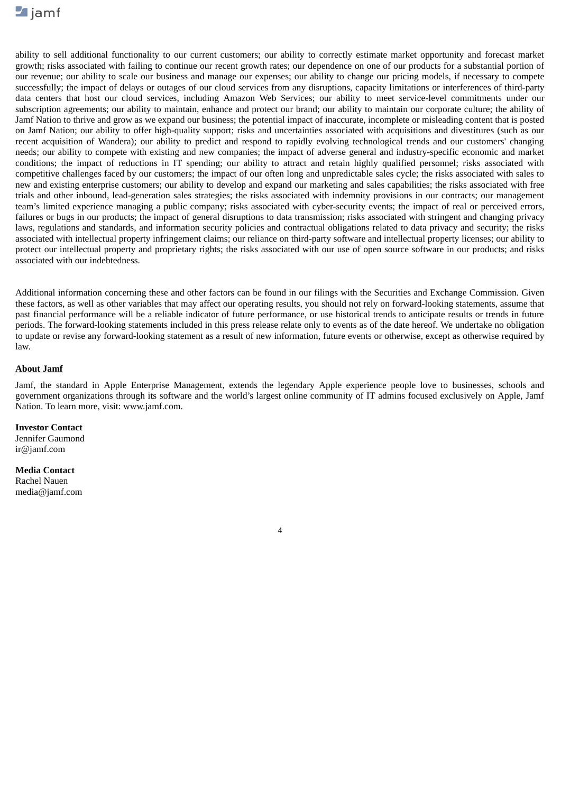ability to sell additional functionality to our current customers; our ability to correctly estimate market opportunity and forecast market growth; risks associated with failing to continue our recent growth rates; our dependence on one of our products for a substantial portion of our revenue; our ability to scale our business and manage our expenses; our ability to change our pricing models, if necessary to compete successfully; the impact of delays or outages of our cloud services from any disruptions, capacity limitations or interferences of third-party data centers that host our cloud services, including Amazon Web Services; our ability to meet service-level commitments under our subscription agreements; our ability to maintain, enhance and protect our brand; our ability to maintain our corporate culture; the ability of Jamf Nation to thrive and grow as we expand our business; the potential impact of inaccurate, incomplete or misleading content that is posted on Jamf Nation; our ability to offer high-quality support; risks and uncertainties associated with acquisitions and divestitures (such as our recent acquisition of Wandera); our ability to predict and respond to rapidly evolving technological trends and our customers' changing needs; our ability to compete with existing and new companies; the impact of adverse general and industry-specific economic and market conditions; the impact of reductions in IT spending; our ability to attract and retain highly qualified personnel; risks associated with competitive challenges faced by our customers; the impact of our often long and unpredictable sales cycle; the risks associated with sales to new and existing enterprise customers; our ability to develop and expand our marketing and sales capabilities; the risks associated with free trials and other inbound, lead-generation sales strategies; the risks associated with indemnity provisions in our contracts; our management team's limited experience managing a public company; risks associated with cyber-security events; the impact of real or perceived errors, failures or bugs in our products; the impact of general disruptions to data transmission; risks associated with stringent and changing privacy laws, regulations and standards, and information security policies and contractual obligations related to data privacy and security; the risks associated with intellectual property infringement claims; our reliance on third-party software and intellectual property licenses; our ability to protect our intellectual property and proprietary rights; the risks associated with our use of open source software in our products; and risks associated with our indebtedness.

Additional information concerning these and other factors can be found in our filings with the Securities and Exchange Commission. Given these factors, as well as other variables that may affect our operating results, you should not rely on forward-looking statements, assume that past financial performance will be a reliable indicator of future performance, or use historical trends to anticipate results or trends in future periods. The forward-looking statements included in this press release relate only to events as of the date hereof. We undertake no obligation to update or revise any forward-looking statement as a result of new information, future events or otherwise, except as otherwise required by law.

#### **About Jamf**

Jamf, the standard in Apple Enterprise Management, extends the legendary Apple experience people love to businesses, schools and government organizations through its software and the world's largest online community of IT admins focused exclusively on Apple, Jamf Nation. To learn more, visit: www.jamf.com.

**Investor Contact** Jennifer Gaumond ir@jamf.com

**Media Contact** Rachel Nauen media@jamf.com

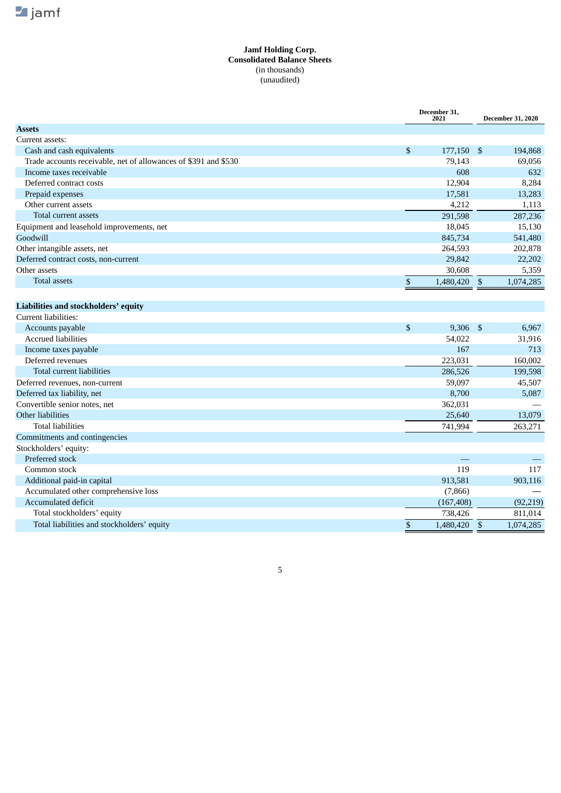#### **Jamf Holding Corp. Consolidated Balance Sheets** (in thousands) (unaudited)

|                                                                 | December 31,<br>2021 | <b>December 31, 2020</b> |           |  |
|-----------------------------------------------------------------|----------------------|--------------------------|-----------|--|
| <b>Assets</b>                                                   |                      |                          |           |  |
| Current assets:                                                 |                      |                          |           |  |
| Cash and cash equivalents                                       | \$<br>177,150        | -\$                      | 194,868   |  |
| Trade accounts receivable, net of allowances of \$391 and \$530 | 79,143               |                          | 69,056    |  |
| Income taxes receivable                                         | 608                  |                          | 632       |  |
| Deferred contract costs                                         | 12,904               |                          | 8,284     |  |
| Prepaid expenses                                                | 17,581               |                          | 13,283    |  |
| Other current assets                                            | 4,212                |                          | 1,113     |  |
| Total current assets                                            | 291,598              |                          | 287,236   |  |
| Equipment and leasehold improvements, net                       | 18,045               |                          | 15,130    |  |
| Goodwill                                                        | 845,734              |                          | 541,480   |  |
| Other intangible assets, net                                    | 264,593              |                          | 202,878   |  |
| Deferred contract costs, non-current                            | 29,842               |                          | 22,202    |  |
| Other assets                                                    | 30,608               |                          | 5,359     |  |
| <b>Total assets</b>                                             | \$<br>1,480,420      | $\$$                     | 1,074,285 |  |
|                                                                 |                      |                          |           |  |
| Liabilities and stockholders' equity                            |                      |                          |           |  |
| Current liabilities:                                            |                      |                          |           |  |
| Accounts payable                                                | \$<br>9.306          | $\mathbf{\hat{S}}$       | 6,967     |  |
| <b>Accrued liabilities</b>                                      | 54,022               |                          | 31,916    |  |
| Income taxes payable                                            | 167                  |                          | 713       |  |
| Deferred revenues                                               | 223,031              |                          | 160,002   |  |
| <b>Total current liabilities</b>                                | 286,526              |                          | 199,598   |  |
| Deferred revenues, non-current                                  | 59,097               |                          | 45,507    |  |
| Deferred tax liability, net                                     | 8,700                |                          | 5,087     |  |
| Convertible senior notes, net                                   | 362,031              |                          |           |  |
| Other liabilities                                               | 25,640               |                          | 13,079    |  |
| <b>Total liabilities</b>                                        | 741,994              |                          | 263,271   |  |
| Commitments and contingencies                                   |                      |                          |           |  |
| Stockholders' equity:                                           |                      |                          |           |  |
| Preferred stock                                                 |                      |                          |           |  |
| Common stock                                                    | 119                  |                          | 117       |  |
| Additional paid-in capital                                      | 913,581              |                          | 903,116   |  |
| Accumulated other comprehensive loss                            | (7,866)              |                          |           |  |
| Accumulated deficit                                             | (167, 408)           |                          | (92, 219) |  |
| Total stockholders' equity                                      | 738,426              |                          | 811,014   |  |
| Total liabilities and stockholders' equity                      | \$<br>1,480,420      | \$                       | 1,074,285 |  |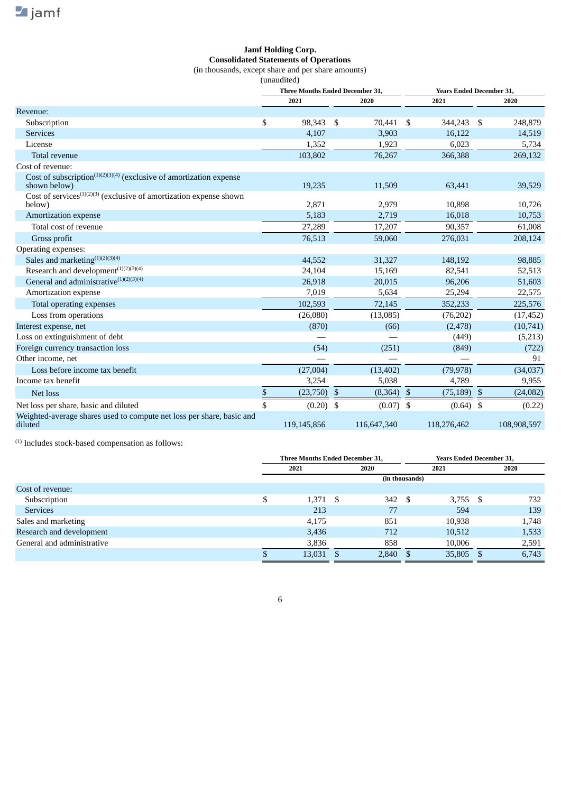#### **Jamf Holding Corp. Consolidated Statements of Operations** (in thousands, except share and per share amounts)

(unaudited)

|                                                                                                              | Three Months Ended December 31, |     |              | <b>Years Ended December 31,</b> |  |             |  |
|--------------------------------------------------------------------------------------------------------------|---------------------------------|-----|--------------|---------------------------------|--|-------------|--|
|                                                                                                              | 2021                            |     | 2020         | 2021                            |  | 2020        |  |
| Revenue:                                                                                                     |                                 |     |              |                                 |  |             |  |
| Subscription                                                                                                 | \$<br>98,343                    | \$  | 70,441       | \$<br>344,243 \$                |  | 248,879     |  |
| <b>Services</b>                                                                                              | 4,107                           |     | 3,903        | 16,122                          |  | 14,519      |  |
| License                                                                                                      | 1,352                           |     | 1,923        | 6,023                           |  | 5,734       |  |
| <b>Total revenue</b>                                                                                         | 103,802                         |     | 76,267       | 366,388                         |  | 269,132     |  |
| Cost of revenue:                                                                                             |                                 |     |              |                                 |  |             |  |
| Cost of subscription <sup><math>(1)(2)(3)(4)</math></sup> (exclusive of amortization expense<br>shown below) | 19,235                          |     | 11,509       | 63,441                          |  | 39,529      |  |
| Cost of services <sup><math>(1)(2)(3)</math></sup> (exclusive of amortization expense shown<br>below)        | 2,871                           |     | 2,979        | 10,898                          |  | 10,726      |  |
| Amortization expense                                                                                         | 5,183                           |     | 2,719        | 16,018                          |  | 10,753      |  |
| Total cost of revenue                                                                                        | 27,289                          |     | 17,207       | 90,357                          |  | 61,008      |  |
| Gross profit                                                                                                 | 76,513                          |     | 59,060       | 276,031                         |  | 208,124     |  |
| Operating expenses:                                                                                          |                                 |     |              |                                 |  |             |  |
| Sales and marketing $(1)(2)(3)(4)$                                                                           | 44,552                          |     | 31,327       | 148,192                         |  | 98,885      |  |
| Research and development <sup><math>(1)(2)(3)(4)</math></sup>                                                | 24,104                          |     | 15,169       | 82,541                          |  | 52,513      |  |
| General and administrative <sup>(1)(2)(3)(4)</sup>                                                           | 26,918                          |     | 20,015       | 96,206                          |  | 51,603      |  |
| Amortization expense                                                                                         | 7,019                           |     | 5,634        | 25,294                          |  | 22,575      |  |
| Total operating expenses                                                                                     | 102,593                         |     | 72,145       | 352,233                         |  | 225,576     |  |
| Loss from operations                                                                                         | (26,080)                        |     | (13,085)     | (76,202)                        |  | (17, 452)   |  |
| Interest expense, net                                                                                        | (870)                           |     | (66)         | (2, 478)                        |  | (10, 741)   |  |
| Loss on extinguishment of debt                                                                               |                                 |     |              | (449)                           |  | (5,213)     |  |
| Foreign currency transaction loss                                                                            | (54)                            |     | (251)        | (849)                           |  | (722)       |  |
| Other income, net                                                                                            |                                 |     |              |                                 |  | 91          |  |
| Loss before income tax benefit                                                                               | (27,004)                        |     | (13, 402)    | (79, 978)                       |  | (34,037)    |  |
| Income tax benefit                                                                                           | 3,254                           |     | 5,038        | 4,789                           |  | 9,955       |  |
| Net loss                                                                                                     | \$<br>(23,750)                  | -\$ | $(8,364)$ \$ | $(75, 189)$ \$                  |  | (24,082)    |  |
| Net loss per share, basic and diluted                                                                        | \$<br>$(0.20)$ \$               |     | $(0.07)$ \$  | $(0.64)$ \$                     |  | (0.22)      |  |
| Weighted-average shares used to compute net loss per share, basic and<br>diluted                             | 119,145,856                     |     | 116.647.340  | 118,276,462                     |  | 108,908,597 |  |

 $(1)$  Includes stock-based compensation as follows:

| <b>Three Months Ended December 31,</b> |  |                                                   | <b>Years Ended December 31,</b> |       |        |                |       |
|----------------------------------------|--|---------------------------------------------------|---------------------------------|-------|--------|----------------|-------|
| 2021                                   |  | 2020                                              |                                 |       | 2021   |                | 2020  |
|                                        |  |                                                   |                                 |       |        |                |       |
|                                        |  |                                                   |                                 |       |        |                |       |
|                                        |  |                                                   | 342                             | - \$  | 3,755  |                | 732   |
|                                        |  |                                                   | 77                              |       | 594    |                | 139   |
|                                        |  |                                                   | 851                             |       | 10,938 |                | 1,748 |
|                                        |  |                                                   | 712                             |       | 10,512 |                | 1,533 |
|                                        |  |                                                   | 858                             |       | 10.006 |                | 2,591 |
|                                        |  |                                                   |                                 |       | 35,805 | - S            | 6,743 |
|                                        |  | 1,371<br>213<br>4,175<br>3,436<br>3,836<br>13,031 | - S                             | 2,840 |        | (in thousands) | - \$  |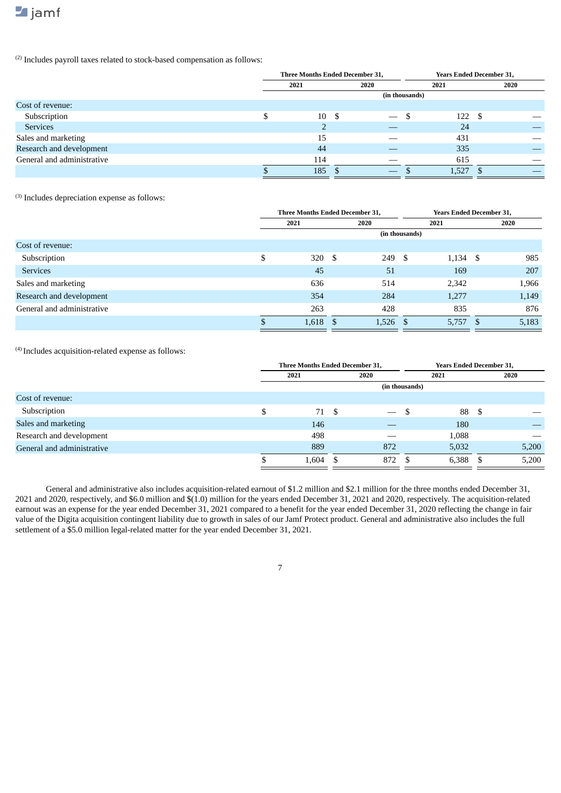$(2)$  Includes payroll taxes related to stock-based compensation as follows:

|                            |      | Three Months Ended December 31, | <b>Years Ended December 31,</b> |      |  |  |
|----------------------------|------|---------------------------------|---------------------------------|------|--|--|
|                            | 2021 | 2020                            | 2021                            | 2020 |  |  |
|                            |      |                                 | (in thousands)                  |      |  |  |
| Cost of revenue:           |      |                                 |                                 |      |  |  |
| Subscription               | 10   | - \$                            | 122                             | - \$ |  |  |
| <b>Services</b>            |      |                                 | 24                              |      |  |  |
| Sales and marketing        | 15   |                                 | 431                             |      |  |  |
| Research and development   | 44   |                                 | 335                             |      |  |  |
| General and administrative | 114  |                                 | 615                             |      |  |  |
|                            | 185  |                                 | 1,527                           |      |  |  |

 $(3)$  Includes depreciation expense as follows:

|                            | Three Months Ended December 31, |      |                |      | <b>Years Ended December 31,</b> |  |       |
|----------------------------|---------------------------------|------|----------------|------|---------------------------------|--|-------|
|                            | 2021                            |      | 2020           |      | 2021                            |  | 2020  |
|                            |                                 |      | (in thousands) |      |                                 |  |       |
| Cost of revenue:           |                                 |      |                |      |                                 |  |       |
| Subscription               | \$<br>320                       | - \$ | 249            | - \$ | $1,134$ \$                      |  | 985   |
| <b>Services</b>            | 45                              |      | 51             |      | 169                             |  | 207   |
| Sales and marketing        | 636                             |      | 514            |      | 2,342                           |  | 1,966 |
| Research and development   | 354                             |      | 284            |      | 1,277                           |  | 1,149 |
| General and administrative | 263                             |      | 428            |      | 835                             |  | 876   |
|                            | 1,618                           | -S   | 1,526          |      | 5,757                           |  | 5,183 |

 $<sup>(4)</sup>$  Includes acquisition-related expense as follows:</sup>

| Three Months Ended December 31, |       |   | <b>Years Ended December 31,</b> |      |       |                |       |
|---------------------------------|-------|---|---------------------------------|------|-------|----------------|-------|
|                                 | 2021  |   | 2020                            |      | 2021  |                | 2020  |
|                                 |       |   |                                 |      |       |                |       |
|                                 |       |   |                                 |      |       |                |       |
|                                 |       |   | $\overbrace{\phantom{13333}}$   | - 55 | 88    |                |       |
|                                 | 146   |   |                                 |      | 180   |                |       |
|                                 | 498   |   |                                 |      | 1,088 |                |       |
|                                 | 889   |   | 872                             |      | 5,032 |                | 5,200 |
|                                 | 1,604 | S | 872                             | S    | 6,388 |                | 5,200 |
|                                 |       |   | 71 \$                           |      |       | (in thousands) | - \$  |

General and administrative also includes acquisition-related earnout of \$1.2 million and \$2.1 million for the three months ended December 31, 2021 and 2020, respectively, and \$6.0 million and \$(1.0) million for the years ended December 31, 2021 and 2020, respectively. The acquisition-related earnout was an expense for the year ended December 31, 2021 compared to a benefit for the year ended December 31, 2020 reflecting the change in fair value of the Digita acquisition contingent liability due to growth in sales of our Jamf Protect product. General and administrative also includes the full settlement of a \$5.0 million legal-related matter for the year ended December 31, 2021.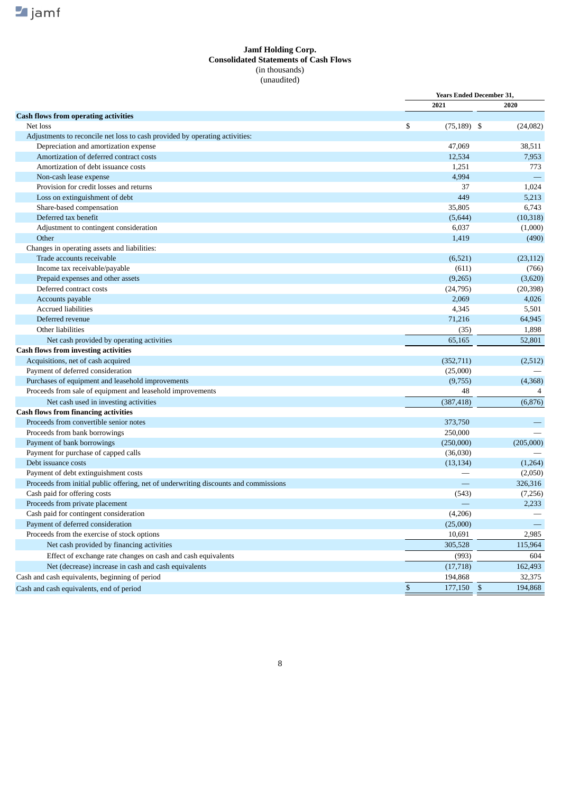#### **Jamf Holding Corp. Consolidated Statements of Cash Flows** (in thousands) (unaudited)

| 2021<br>2020<br>\$<br>$(75, 189)$ \$<br>Net loss<br>(24,082)<br>Adjustments to reconcile net loss to cash provided by operating activities:<br>Depreciation and amortization expense<br>47,069<br>38,511<br>Amortization of deferred contract costs<br>12,534<br>7,953<br>Amortization of debt issuance costs<br>1,251<br>773<br>4,994<br>Non-cash lease expense<br>Provision for credit losses and returns<br>37<br>1,024<br>Loss on extinguishment of debt<br>449<br>5,213<br>Share-based compensation<br>35,805<br>6,743<br>Deferred tax benefit<br>(10, 318)<br>(5,644)<br>Adjustment to contingent consideration<br>6,037<br>(1,000)<br>Other<br>1,419<br>(490)<br>Changes in operating assets and liabilities:<br>Trade accounts receivable<br>(6,521)<br>(23, 112)<br>Income tax receivable/payable<br>(611)<br>(766)<br>(9,265)<br>Prepaid expenses and other assets<br>(3,620)<br>Deferred contract costs<br>(24, 795)<br>(20, 398)<br>Accounts payable<br>2,069<br>4,026<br><b>Accrued liabilities</b><br>4,345<br>5,501<br>Deferred revenue<br>71,216<br>64,945<br>Other liabilities<br>(35)<br>1,898<br>Net cash provided by operating activities<br>65,165<br>52,801<br><b>Cash flows from investing activities</b><br>Acquisitions, net of cash acquired<br>(352, 711)<br>(2,512)<br>Payment of deferred consideration<br>(25,000)<br>Purchases of equipment and leasehold improvements<br>(9,755)<br>(4, 368)<br>Proceeds from sale of equipment and leasehold improvements<br>48<br>Net cash used in investing activities<br>(6, 876)<br>(387, 418)<br><b>Cash flows from financing activities</b><br>Proceeds from convertible senior notes<br>373,750<br>Proceeds from bank borrowings<br>250,000<br>(250,000)<br>Payment of bank borrowings<br>(205,000)<br>Payment for purchase of capped calls<br>(36,030)<br>Debt issuance costs<br>(13, 134)<br>(1,264)<br>Payment of debt extinguishment costs<br>(2,050)<br>326,316<br>Proceeds from initial public offering, net of underwriting discounts and commissions<br>Cash paid for offering costs<br>(543)<br>(7,256)<br>Proceeds from private placement<br>2,233<br>Cash paid for contingent consideration<br>(4,206)<br>Payment of deferred consideration<br>(25,000)<br>Proceeds from the exercise of stock options<br>10,691<br>2,985<br>305,528<br>Net cash provided by financing activities<br>115,964<br>Effect of exchange rate changes on cash and cash equivalents<br>(993)<br>604<br>Net (decrease) increase in cash and cash equivalents<br>162,493<br>(17,718)<br>Cash and cash equivalents, beginning of period<br>194,868<br>32,375<br>\$<br>177,150 \$<br>194,868<br>Cash and cash equivalents, end of period |                                             | <b>Years Ended December 31,</b> |  |  |
|--------------------------------------------------------------------------------------------------------------------------------------------------------------------------------------------------------------------------------------------------------------------------------------------------------------------------------------------------------------------------------------------------------------------------------------------------------------------------------------------------------------------------------------------------------------------------------------------------------------------------------------------------------------------------------------------------------------------------------------------------------------------------------------------------------------------------------------------------------------------------------------------------------------------------------------------------------------------------------------------------------------------------------------------------------------------------------------------------------------------------------------------------------------------------------------------------------------------------------------------------------------------------------------------------------------------------------------------------------------------------------------------------------------------------------------------------------------------------------------------------------------------------------------------------------------------------------------------------------------------------------------------------------------------------------------------------------------------------------------------------------------------------------------------------------------------------------------------------------------------------------------------------------------------------------------------------------------------------------------------------------------------------------------------------------------------------------------------------------------------------------------------------------------------------------------------------------------------------------------------------------------------------------------------------------------------------------------------------------------------------------------------------------------------------------------------------------------------------------------------------------------------------------------------------------------------------------------------------------------------------------------------------------------------------------------------------|---------------------------------------------|---------------------------------|--|--|
|                                                                                                                                                                                                                                                                                                                                                                                                                                                                                                                                                                                                                                                                                                                                                                                                                                                                                                                                                                                                                                                                                                                                                                                                                                                                                                                                                                                                                                                                                                                                                                                                                                                                                                                                                                                                                                                                                                                                                                                                                                                                                                                                                                                                                                                                                                                                                                                                                                                                                                                                                                                                                                                                                                  |                                             |                                 |  |  |
|                                                                                                                                                                                                                                                                                                                                                                                                                                                                                                                                                                                                                                                                                                                                                                                                                                                                                                                                                                                                                                                                                                                                                                                                                                                                                                                                                                                                                                                                                                                                                                                                                                                                                                                                                                                                                                                                                                                                                                                                                                                                                                                                                                                                                                                                                                                                                                                                                                                                                                                                                                                                                                                                                                  | <b>Cash flows from operating activities</b> |                                 |  |  |
|                                                                                                                                                                                                                                                                                                                                                                                                                                                                                                                                                                                                                                                                                                                                                                                                                                                                                                                                                                                                                                                                                                                                                                                                                                                                                                                                                                                                                                                                                                                                                                                                                                                                                                                                                                                                                                                                                                                                                                                                                                                                                                                                                                                                                                                                                                                                                                                                                                                                                                                                                                                                                                                                                                  |                                             |                                 |  |  |
|                                                                                                                                                                                                                                                                                                                                                                                                                                                                                                                                                                                                                                                                                                                                                                                                                                                                                                                                                                                                                                                                                                                                                                                                                                                                                                                                                                                                                                                                                                                                                                                                                                                                                                                                                                                                                                                                                                                                                                                                                                                                                                                                                                                                                                                                                                                                                                                                                                                                                                                                                                                                                                                                                                  |                                             |                                 |  |  |
|                                                                                                                                                                                                                                                                                                                                                                                                                                                                                                                                                                                                                                                                                                                                                                                                                                                                                                                                                                                                                                                                                                                                                                                                                                                                                                                                                                                                                                                                                                                                                                                                                                                                                                                                                                                                                                                                                                                                                                                                                                                                                                                                                                                                                                                                                                                                                                                                                                                                                                                                                                                                                                                                                                  |                                             |                                 |  |  |
|                                                                                                                                                                                                                                                                                                                                                                                                                                                                                                                                                                                                                                                                                                                                                                                                                                                                                                                                                                                                                                                                                                                                                                                                                                                                                                                                                                                                                                                                                                                                                                                                                                                                                                                                                                                                                                                                                                                                                                                                                                                                                                                                                                                                                                                                                                                                                                                                                                                                                                                                                                                                                                                                                                  |                                             |                                 |  |  |
|                                                                                                                                                                                                                                                                                                                                                                                                                                                                                                                                                                                                                                                                                                                                                                                                                                                                                                                                                                                                                                                                                                                                                                                                                                                                                                                                                                                                                                                                                                                                                                                                                                                                                                                                                                                                                                                                                                                                                                                                                                                                                                                                                                                                                                                                                                                                                                                                                                                                                                                                                                                                                                                                                                  |                                             |                                 |  |  |
|                                                                                                                                                                                                                                                                                                                                                                                                                                                                                                                                                                                                                                                                                                                                                                                                                                                                                                                                                                                                                                                                                                                                                                                                                                                                                                                                                                                                                                                                                                                                                                                                                                                                                                                                                                                                                                                                                                                                                                                                                                                                                                                                                                                                                                                                                                                                                                                                                                                                                                                                                                                                                                                                                                  |                                             |                                 |  |  |
|                                                                                                                                                                                                                                                                                                                                                                                                                                                                                                                                                                                                                                                                                                                                                                                                                                                                                                                                                                                                                                                                                                                                                                                                                                                                                                                                                                                                                                                                                                                                                                                                                                                                                                                                                                                                                                                                                                                                                                                                                                                                                                                                                                                                                                                                                                                                                                                                                                                                                                                                                                                                                                                                                                  |                                             |                                 |  |  |
|                                                                                                                                                                                                                                                                                                                                                                                                                                                                                                                                                                                                                                                                                                                                                                                                                                                                                                                                                                                                                                                                                                                                                                                                                                                                                                                                                                                                                                                                                                                                                                                                                                                                                                                                                                                                                                                                                                                                                                                                                                                                                                                                                                                                                                                                                                                                                                                                                                                                                                                                                                                                                                                                                                  |                                             |                                 |  |  |
|                                                                                                                                                                                                                                                                                                                                                                                                                                                                                                                                                                                                                                                                                                                                                                                                                                                                                                                                                                                                                                                                                                                                                                                                                                                                                                                                                                                                                                                                                                                                                                                                                                                                                                                                                                                                                                                                                                                                                                                                                                                                                                                                                                                                                                                                                                                                                                                                                                                                                                                                                                                                                                                                                                  |                                             |                                 |  |  |
|                                                                                                                                                                                                                                                                                                                                                                                                                                                                                                                                                                                                                                                                                                                                                                                                                                                                                                                                                                                                                                                                                                                                                                                                                                                                                                                                                                                                                                                                                                                                                                                                                                                                                                                                                                                                                                                                                                                                                                                                                                                                                                                                                                                                                                                                                                                                                                                                                                                                                                                                                                                                                                                                                                  |                                             |                                 |  |  |
|                                                                                                                                                                                                                                                                                                                                                                                                                                                                                                                                                                                                                                                                                                                                                                                                                                                                                                                                                                                                                                                                                                                                                                                                                                                                                                                                                                                                                                                                                                                                                                                                                                                                                                                                                                                                                                                                                                                                                                                                                                                                                                                                                                                                                                                                                                                                                                                                                                                                                                                                                                                                                                                                                                  |                                             |                                 |  |  |
|                                                                                                                                                                                                                                                                                                                                                                                                                                                                                                                                                                                                                                                                                                                                                                                                                                                                                                                                                                                                                                                                                                                                                                                                                                                                                                                                                                                                                                                                                                                                                                                                                                                                                                                                                                                                                                                                                                                                                                                                                                                                                                                                                                                                                                                                                                                                                                                                                                                                                                                                                                                                                                                                                                  |                                             |                                 |  |  |
|                                                                                                                                                                                                                                                                                                                                                                                                                                                                                                                                                                                                                                                                                                                                                                                                                                                                                                                                                                                                                                                                                                                                                                                                                                                                                                                                                                                                                                                                                                                                                                                                                                                                                                                                                                                                                                                                                                                                                                                                                                                                                                                                                                                                                                                                                                                                                                                                                                                                                                                                                                                                                                                                                                  |                                             |                                 |  |  |
|                                                                                                                                                                                                                                                                                                                                                                                                                                                                                                                                                                                                                                                                                                                                                                                                                                                                                                                                                                                                                                                                                                                                                                                                                                                                                                                                                                                                                                                                                                                                                                                                                                                                                                                                                                                                                                                                                                                                                                                                                                                                                                                                                                                                                                                                                                                                                                                                                                                                                                                                                                                                                                                                                                  |                                             |                                 |  |  |
|                                                                                                                                                                                                                                                                                                                                                                                                                                                                                                                                                                                                                                                                                                                                                                                                                                                                                                                                                                                                                                                                                                                                                                                                                                                                                                                                                                                                                                                                                                                                                                                                                                                                                                                                                                                                                                                                                                                                                                                                                                                                                                                                                                                                                                                                                                                                                                                                                                                                                                                                                                                                                                                                                                  |                                             |                                 |  |  |
|                                                                                                                                                                                                                                                                                                                                                                                                                                                                                                                                                                                                                                                                                                                                                                                                                                                                                                                                                                                                                                                                                                                                                                                                                                                                                                                                                                                                                                                                                                                                                                                                                                                                                                                                                                                                                                                                                                                                                                                                                                                                                                                                                                                                                                                                                                                                                                                                                                                                                                                                                                                                                                                                                                  |                                             |                                 |  |  |
|                                                                                                                                                                                                                                                                                                                                                                                                                                                                                                                                                                                                                                                                                                                                                                                                                                                                                                                                                                                                                                                                                                                                                                                                                                                                                                                                                                                                                                                                                                                                                                                                                                                                                                                                                                                                                                                                                                                                                                                                                                                                                                                                                                                                                                                                                                                                                                                                                                                                                                                                                                                                                                                                                                  |                                             |                                 |  |  |
|                                                                                                                                                                                                                                                                                                                                                                                                                                                                                                                                                                                                                                                                                                                                                                                                                                                                                                                                                                                                                                                                                                                                                                                                                                                                                                                                                                                                                                                                                                                                                                                                                                                                                                                                                                                                                                                                                                                                                                                                                                                                                                                                                                                                                                                                                                                                                                                                                                                                                                                                                                                                                                                                                                  |                                             |                                 |  |  |
|                                                                                                                                                                                                                                                                                                                                                                                                                                                                                                                                                                                                                                                                                                                                                                                                                                                                                                                                                                                                                                                                                                                                                                                                                                                                                                                                                                                                                                                                                                                                                                                                                                                                                                                                                                                                                                                                                                                                                                                                                                                                                                                                                                                                                                                                                                                                                                                                                                                                                                                                                                                                                                                                                                  |                                             |                                 |  |  |
|                                                                                                                                                                                                                                                                                                                                                                                                                                                                                                                                                                                                                                                                                                                                                                                                                                                                                                                                                                                                                                                                                                                                                                                                                                                                                                                                                                                                                                                                                                                                                                                                                                                                                                                                                                                                                                                                                                                                                                                                                                                                                                                                                                                                                                                                                                                                                                                                                                                                                                                                                                                                                                                                                                  |                                             |                                 |  |  |
|                                                                                                                                                                                                                                                                                                                                                                                                                                                                                                                                                                                                                                                                                                                                                                                                                                                                                                                                                                                                                                                                                                                                                                                                                                                                                                                                                                                                                                                                                                                                                                                                                                                                                                                                                                                                                                                                                                                                                                                                                                                                                                                                                                                                                                                                                                                                                                                                                                                                                                                                                                                                                                                                                                  |                                             |                                 |  |  |
|                                                                                                                                                                                                                                                                                                                                                                                                                                                                                                                                                                                                                                                                                                                                                                                                                                                                                                                                                                                                                                                                                                                                                                                                                                                                                                                                                                                                                                                                                                                                                                                                                                                                                                                                                                                                                                                                                                                                                                                                                                                                                                                                                                                                                                                                                                                                                                                                                                                                                                                                                                                                                                                                                                  |                                             |                                 |  |  |
|                                                                                                                                                                                                                                                                                                                                                                                                                                                                                                                                                                                                                                                                                                                                                                                                                                                                                                                                                                                                                                                                                                                                                                                                                                                                                                                                                                                                                                                                                                                                                                                                                                                                                                                                                                                                                                                                                                                                                                                                                                                                                                                                                                                                                                                                                                                                                                                                                                                                                                                                                                                                                                                                                                  |                                             |                                 |  |  |
|                                                                                                                                                                                                                                                                                                                                                                                                                                                                                                                                                                                                                                                                                                                                                                                                                                                                                                                                                                                                                                                                                                                                                                                                                                                                                                                                                                                                                                                                                                                                                                                                                                                                                                                                                                                                                                                                                                                                                                                                                                                                                                                                                                                                                                                                                                                                                                                                                                                                                                                                                                                                                                                                                                  |                                             |                                 |  |  |
|                                                                                                                                                                                                                                                                                                                                                                                                                                                                                                                                                                                                                                                                                                                                                                                                                                                                                                                                                                                                                                                                                                                                                                                                                                                                                                                                                                                                                                                                                                                                                                                                                                                                                                                                                                                                                                                                                                                                                                                                                                                                                                                                                                                                                                                                                                                                                                                                                                                                                                                                                                                                                                                                                                  |                                             |                                 |  |  |
|                                                                                                                                                                                                                                                                                                                                                                                                                                                                                                                                                                                                                                                                                                                                                                                                                                                                                                                                                                                                                                                                                                                                                                                                                                                                                                                                                                                                                                                                                                                                                                                                                                                                                                                                                                                                                                                                                                                                                                                                                                                                                                                                                                                                                                                                                                                                                                                                                                                                                                                                                                                                                                                                                                  |                                             |                                 |  |  |
|                                                                                                                                                                                                                                                                                                                                                                                                                                                                                                                                                                                                                                                                                                                                                                                                                                                                                                                                                                                                                                                                                                                                                                                                                                                                                                                                                                                                                                                                                                                                                                                                                                                                                                                                                                                                                                                                                                                                                                                                                                                                                                                                                                                                                                                                                                                                                                                                                                                                                                                                                                                                                                                                                                  |                                             |                                 |  |  |
|                                                                                                                                                                                                                                                                                                                                                                                                                                                                                                                                                                                                                                                                                                                                                                                                                                                                                                                                                                                                                                                                                                                                                                                                                                                                                                                                                                                                                                                                                                                                                                                                                                                                                                                                                                                                                                                                                                                                                                                                                                                                                                                                                                                                                                                                                                                                                                                                                                                                                                                                                                                                                                                                                                  |                                             |                                 |  |  |
|                                                                                                                                                                                                                                                                                                                                                                                                                                                                                                                                                                                                                                                                                                                                                                                                                                                                                                                                                                                                                                                                                                                                                                                                                                                                                                                                                                                                                                                                                                                                                                                                                                                                                                                                                                                                                                                                                                                                                                                                                                                                                                                                                                                                                                                                                                                                                                                                                                                                                                                                                                                                                                                                                                  |                                             |                                 |  |  |
|                                                                                                                                                                                                                                                                                                                                                                                                                                                                                                                                                                                                                                                                                                                                                                                                                                                                                                                                                                                                                                                                                                                                                                                                                                                                                                                                                                                                                                                                                                                                                                                                                                                                                                                                                                                                                                                                                                                                                                                                                                                                                                                                                                                                                                                                                                                                                                                                                                                                                                                                                                                                                                                                                                  |                                             |                                 |  |  |
|                                                                                                                                                                                                                                                                                                                                                                                                                                                                                                                                                                                                                                                                                                                                                                                                                                                                                                                                                                                                                                                                                                                                                                                                                                                                                                                                                                                                                                                                                                                                                                                                                                                                                                                                                                                                                                                                                                                                                                                                                                                                                                                                                                                                                                                                                                                                                                                                                                                                                                                                                                                                                                                                                                  |                                             |                                 |  |  |
|                                                                                                                                                                                                                                                                                                                                                                                                                                                                                                                                                                                                                                                                                                                                                                                                                                                                                                                                                                                                                                                                                                                                                                                                                                                                                                                                                                                                                                                                                                                                                                                                                                                                                                                                                                                                                                                                                                                                                                                                                                                                                                                                                                                                                                                                                                                                                                                                                                                                                                                                                                                                                                                                                                  |                                             |                                 |  |  |
|                                                                                                                                                                                                                                                                                                                                                                                                                                                                                                                                                                                                                                                                                                                                                                                                                                                                                                                                                                                                                                                                                                                                                                                                                                                                                                                                                                                                                                                                                                                                                                                                                                                                                                                                                                                                                                                                                                                                                                                                                                                                                                                                                                                                                                                                                                                                                                                                                                                                                                                                                                                                                                                                                                  |                                             |                                 |  |  |
|                                                                                                                                                                                                                                                                                                                                                                                                                                                                                                                                                                                                                                                                                                                                                                                                                                                                                                                                                                                                                                                                                                                                                                                                                                                                                                                                                                                                                                                                                                                                                                                                                                                                                                                                                                                                                                                                                                                                                                                                                                                                                                                                                                                                                                                                                                                                                                                                                                                                                                                                                                                                                                                                                                  |                                             |                                 |  |  |
|                                                                                                                                                                                                                                                                                                                                                                                                                                                                                                                                                                                                                                                                                                                                                                                                                                                                                                                                                                                                                                                                                                                                                                                                                                                                                                                                                                                                                                                                                                                                                                                                                                                                                                                                                                                                                                                                                                                                                                                                                                                                                                                                                                                                                                                                                                                                                                                                                                                                                                                                                                                                                                                                                                  |                                             |                                 |  |  |
|                                                                                                                                                                                                                                                                                                                                                                                                                                                                                                                                                                                                                                                                                                                                                                                                                                                                                                                                                                                                                                                                                                                                                                                                                                                                                                                                                                                                                                                                                                                                                                                                                                                                                                                                                                                                                                                                                                                                                                                                                                                                                                                                                                                                                                                                                                                                                                                                                                                                                                                                                                                                                                                                                                  |                                             |                                 |  |  |
|                                                                                                                                                                                                                                                                                                                                                                                                                                                                                                                                                                                                                                                                                                                                                                                                                                                                                                                                                                                                                                                                                                                                                                                                                                                                                                                                                                                                                                                                                                                                                                                                                                                                                                                                                                                                                                                                                                                                                                                                                                                                                                                                                                                                                                                                                                                                                                                                                                                                                                                                                                                                                                                                                                  |                                             |                                 |  |  |
|                                                                                                                                                                                                                                                                                                                                                                                                                                                                                                                                                                                                                                                                                                                                                                                                                                                                                                                                                                                                                                                                                                                                                                                                                                                                                                                                                                                                                                                                                                                                                                                                                                                                                                                                                                                                                                                                                                                                                                                                                                                                                                                                                                                                                                                                                                                                                                                                                                                                                                                                                                                                                                                                                                  |                                             |                                 |  |  |
|                                                                                                                                                                                                                                                                                                                                                                                                                                                                                                                                                                                                                                                                                                                                                                                                                                                                                                                                                                                                                                                                                                                                                                                                                                                                                                                                                                                                                                                                                                                                                                                                                                                                                                                                                                                                                                                                                                                                                                                                                                                                                                                                                                                                                                                                                                                                                                                                                                                                                                                                                                                                                                                                                                  |                                             |                                 |  |  |
|                                                                                                                                                                                                                                                                                                                                                                                                                                                                                                                                                                                                                                                                                                                                                                                                                                                                                                                                                                                                                                                                                                                                                                                                                                                                                                                                                                                                                                                                                                                                                                                                                                                                                                                                                                                                                                                                                                                                                                                                                                                                                                                                                                                                                                                                                                                                                                                                                                                                                                                                                                                                                                                                                                  |                                             |                                 |  |  |
|                                                                                                                                                                                                                                                                                                                                                                                                                                                                                                                                                                                                                                                                                                                                                                                                                                                                                                                                                                                                                                                                                                                                                                                                                                                                                                                                                                                                                                                                                                                                                                                                                                                                                                                                                                                                                                                                                                                                                                                                                                                                                                                                                                                                                                                                                                                                                                                                                                                                                                                                                                                                                                                                                                  |                                             |                                 |  |  |
|                                                                                                                                                                                                                                                                                                                                                                                                                                                                                                                                                                                                                                                                                                                                                                                                                                                                                                                                                                                                                                                                                                                                                                                                                                                                                                                                                                                                                                                                                                                                                                                                                                                                                                                                                                                                                                                                                                                                                                                                                                                                                                                                                                                                                                                                                                                                                                                                                                                                                                                                                                                                                                                                                                  |                                             |                                 |  |  |
|                                                                                                                                                                                                                                                                                                                                                                                                                                                                                                                                                                                                                                                                                                                                                                                                                                                                                                                                                                                                                                                                                                                                                                                                                                                                                                                                                                                                                                                                                                                                                                                                                                                                                                                                                                                                                                                                                                                                                                                                                                                                                                                                                                                                                                                                                                                                                                                                                                                                                                                                                                                                                                                                                                  |                                             |                                 |  |  |
|                                                                                                                                                                                                                                                                                                                                                                                                                                                                                                                                                                                                                                                                                                                                                                                                                                                                                                                                                                                                                                                                                                                                                                                                                                                                                                                                                                                                                                                                                                                                                                                                                                                                                                                                                                                                                                                                                                                                                                                                                                                                                                                                                                                                                                                                                                                                                                                                                                                                                                                                                                                                                                                                                                  |                                             |                                 |  |  |
|                                                                                                                                                                                                                                                                                                                                                                                                                                                                                                                                                                                                                                                                                                                                                                                                                                                                                                                                                                                                                                                                                                                                                                                                                                                                                                                                                                                                                                                                                                                                                                                                                                                                                                                                                                                                                                                                                                                                                                                                                                                                                                                                                                                                                                                                                                                                                                                                                                                                                                                                                                                                                                                                                                  |                                             |                                 |  |  |
|                                                                                                                                                                                                                                                                                                                                                                                                                                                                                                                                                                                                                                                                                                                                                                                                                                                                                                                                                                                                                                                                                                                                                                                                                                                                                                                                                                                                                                                                                                                                                                                                                                                                                                                                                                                                                                                                                                                                                                                                                                                                                                                                                                                                                                                                                                                                                                                                                                                                                                                                                                                                                                                                                                  |                                             |                                 |  |  |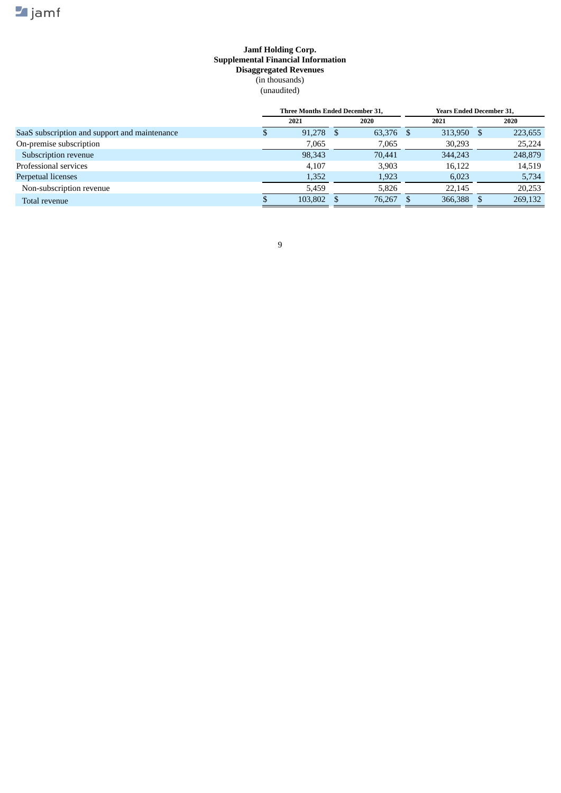#### **Jamf Holding Corp. Supplemental Financial Information Disaggregated Revenues** (in thousands) (unaudited)

|                                               |         | Three Months Ended December 31, |                    | <b>Years Ended December 31,</b> |
|-----------------------------------------------|---------|---------------------------------|--------------------|---------------------------------|
|                                               | 2021    | 2020                            | 2021               | 2020                            |
| SaaS subscription and support and maintenance | 91,278  | 63,376<br>- S                   | 313,950 \$<br>- \$ | 223,655                         |
| On-premise subscription                       | 7,065   | 7,065                           | 30,293             | 25,224                          |
| Subscription revenue                          | 98,343  | 70.441                          | 344,243            | 248,879                         |
| Professional services                         | 4,107   | 3,903                           | 16,122             | 14,519                          |
| Perpetual licenses                            | 1,352   | 1,923                           | 6,023              | 5,734                           |
| Non-subscription revenue                      | 5.459   | 5,826                           | 22,145             | 20,253                          |
| Total revenue                                 | 103,802 | 76,267                          | 366,388            | 269,132                         |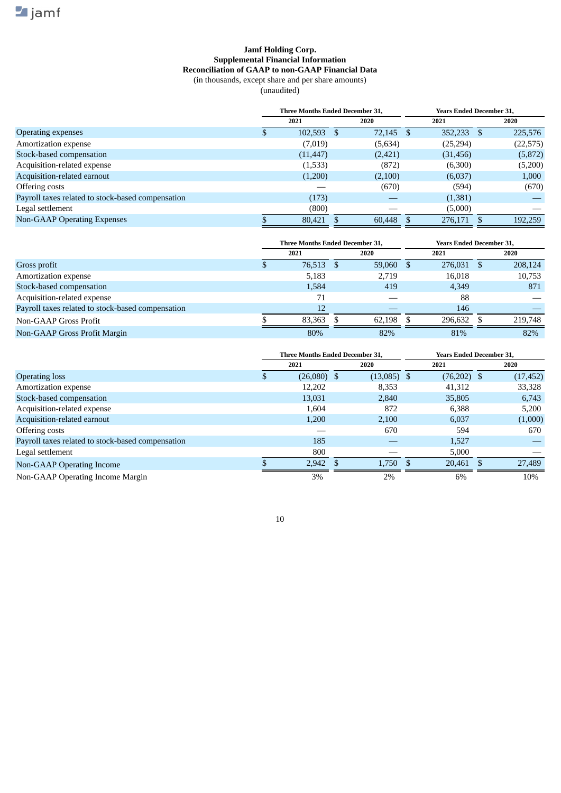#### **Jamf Holding Corp. Supplemental Financial Information Reconciliation of GAAP to non-GAAP Financial Data** (in thousands, except share and per share amounts) (unaudited)

|                                                   | <b>Three Months Ended December 31.</b> |           |    | <b>Years Ended December 31.</b> |     |           |      |           |
|---------------------------------------------------|----------------------------------------|-----------|----|---------------------------------|-----|-----------|------|-----------|
|                                                   |                                        | 2021      |    | 2020                            |     | 2021      |      | 2020      |
| Operating expenses                                |                                        | 102,593   | -S | 72,145                          | - S | 352,233   | - \$ | 225,576   |
| Amortization expense                              |                                        | (7,019)   |    | (5,634)                         |     | (25, 294) |      | (22, 575) |
| Stock-based compensation                          |                                        | (11, 447) |    | (2,421)                         |     | (31, 456) |      | (5,872)   |
| Acquisition-related expense                       |                                        | (1,533)   |    | (872)                           |     | (6,300)   |      | (5,200)   |
| Acquisition-related earnout                       |                                        | (1,200)   |    | (2,100)                         |     | (6,037)   |      | 1,000     |
| Offering costs                                    |                                        |           |    | (670)                           |     | (594)     |      | (670)     |
| Payroll taxes related to stock-based compensation |                                        | (173)     |    |                                 |     | (1,381)   |      |           |
| Legal settlement                                  |                                        | (800)     |    |                                 |     | (5,000)   |      |           |
| <b>Non-GAAP Operating Expenses</b>                |                                        | 80,421    |    | 60,448                          |     | 276,171   |      | 192.259   |

|                                                   | Three Months Ended December 31, |  |        | <b>Years Ended December 31,</b> |            |  |         |
|---------------------------------------------------|---------------------------------|--|--------|---------------------------------|------------|--|---------|
|                                                   | 2021                            |  | 2020   |                                 | 2021       |  | 2020    |
| Gross profit                                      | 76,513                          |  | 59,060 | ∣S∖                             | 276,031 \$ |  | 208,124 |
| Amortization expense                              | 5,183                           |  | 2,719  |                                 | 16,018     |  | 10,753  |
| Stock-based compensation                          | 1,584                           |  | 419    |                                 | 4.349      |  | 871     |
| Acquisition-related expense                       | 71                              |  |        |                                 | 88         |  |         |
| Payroll taxes related to stock-based compensation | 12                              |  |        |                                 | 146        |  |         |
| Non-GAAP Gross Profit                             | 83.363                          |  | 62.198 |                                 | 296.632    |  | 219,748 |
| Non-GAAP Gross Profit Margin                      | 80%                             |  | 82%    |                                 | 81%        |  | 82%     |

|                                                   | <b>Three Months Ended December 31,</b> |      |               |  | <b>Years Ended December 31,</b> |  |           |  |
|---------------------------------------------------|----------------------------------------|------|---------------|--|---------------------------------|--|-----------|--|
|                                                   | 2021                                   | 2020 |               |  | 2021                            |  | 2020      |  |
| <b>Operating loss</b>                             | $(26,080)$ \$                          |      | $(13,085)$ \$ |  | $(76,202)$ \$                   |  | (17, 452) |  |
| Amortization expense                              | 12,202                                 |      | 8,353         |  | 41,312                          |  | 33,328    |  |
| Stock-based compensation                          | 13,031                                 |      | 2,840         |  | 35,805                          |  | 6,743     |  |
| Acquisition-related expense                       | 1,604                                  |      | 872           |  | 6.388                           |  | 5,200     |  |
| Acquisition-related earnout                       | 1,200                                  |      | 2,100         |  | 6,037                           |  | (1,000)   |  |
| Offering costs                                    |                                        |      | 670           |  | 594                             |  | 670       |  |
| Payroll taxes related to stock-based compensation | 185                                    |      |               |  | 1,527                           |  |           |  |
| Legal settlement                                  | 800                                    |      |               |  | 5,000                           |  |           |  |
| <b>Non-GAAP Operating Income</b>                  | 2,942                                  |      | 1,750         |  | 20,461                          |  | 27,489    |  |
| Non-GAAP Operating Income Margin                  | 3%                                     |      | $2\%$         |  | 6%                              |  | 10%       |  |